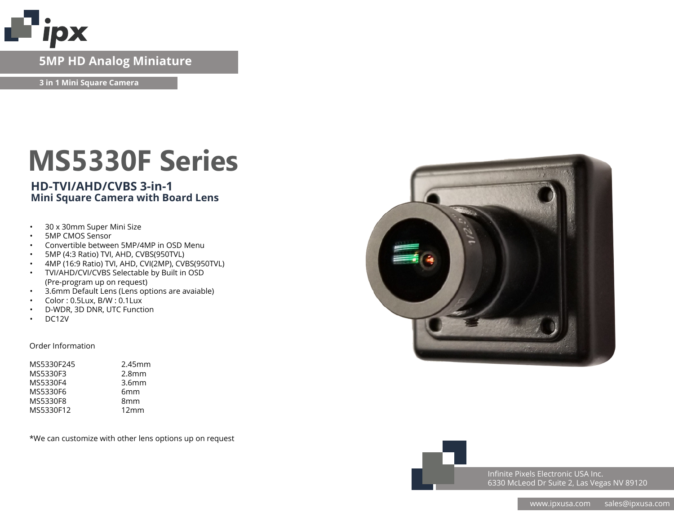

# **IP Network Camera 5MP HD Analog Miniature**

**3 in 1 Mini Square Camera**

# **MS5330F Series**

### **HD-TVI/AHD/CVBS 3-in-1 Mini Square Camera with Board Lens**

- 30 x 30mm Super Mini Size
- 5MP CMOS Sensor
- Convertible between 5MP/4MP in OSD Menu
- 5MP (4:3 Ratio) TVI, AHD, CVBS(950TVL)
- 4MP (16:9 Ratio) TVI, AHD, CVI(2MP), CVBS(950TVL)
- TVI/AHD/CVI/CVBS Selectable by Built in OSD (Pre-program up on request)
- 3.6mm Default Lens (Lens options are avaiable)
- Color : 0.5Lux, B/W : 0.1Lux
- D-WDR, 3D DNR, UTC Function
- DC12V

#### Order Information

| MS5330F245 | 2.45mm            |
|------------|-------------------|
| MS5330F3   | 2.8 <sub>mm</sub> |
| MS5330F4   | 3.6 <sub>mm</sub> |
| MS5330F6   | 6 <sub>mm</sub>   |
| MS5330F8   | 8 <sub>mm</sub>   |
| MS5330F12  | 12mm              |

\*We can customize with other lens options up on request